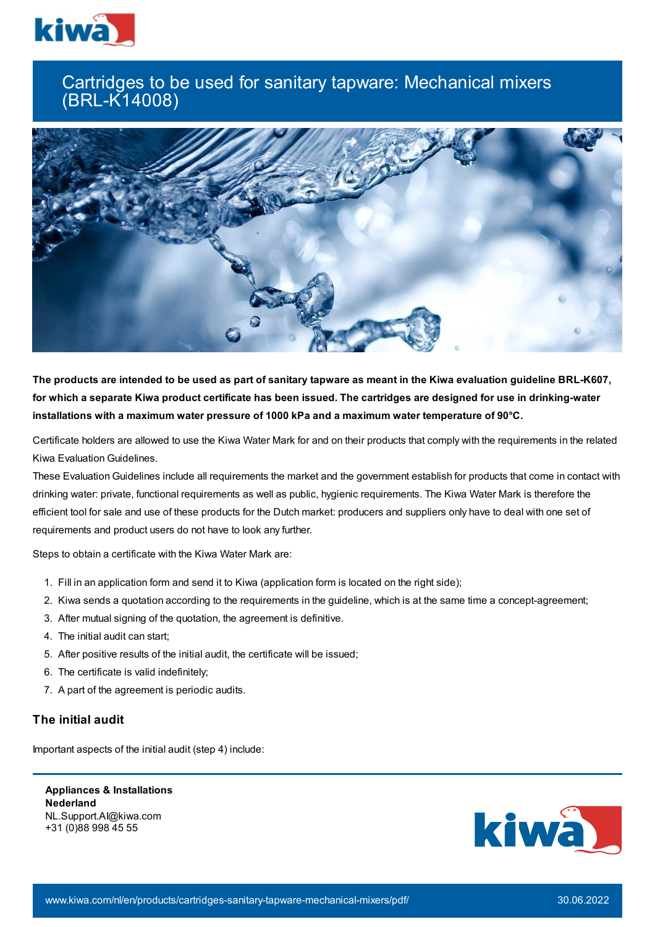

## Cartridges to be used for sanitary tapware: Mechanical mixers (BRL-K14008)



The products are intended to be used as part of sanitary tapware as meant in the Kiwa evaluation guideline BRL-K607, for which a separate Kiwa product certificate has been issued. The cartridges are designed for use in drinking-water **installations with a maximum water pressure of 1000 kPa and a maximum water temperature of 90°C.**

Certificate holders are allowed to use the Kiwa Water Mark for and on their products that comply with the requirements in the related Kiwa Evaluation Guidelines.

These Evaluation Guidelines include all requirements the market and the government establish for products that come in contact with drinking water: private, functional requirements as well as public, hygienic requirements. The Kiwa Water Mark is therefore the efficient tool for sale and use of these products for the Dutch market: producers and suppliers only have to deal with one set of requirements and product users do not have to look any further.

Steps to obtain a certificate with the Kiwa Water Mark are:

- 1. Fill in an application form and send it to Kiwa (application form is located on the right side);
- 2. Kiwa sends a quotation according to the requirements in the guideline, which is at the same time a concept-agreement;
- 3. After mutual signing of the quotation, the agreement is definitive.
- 4. The initial audit can start;
- 5. After positive results of the initial audit, the certificate will be issued;
- 6. The certificate is valid indefinitely;
- 7. A part of the agreement is periodic audits.

## **The initial audit**

Important aspects of the initial audit (step 4) include:

**Appliances & Installations Nederland** NL.Support.AI@kiwa.com +31 (0)88 998 45 55